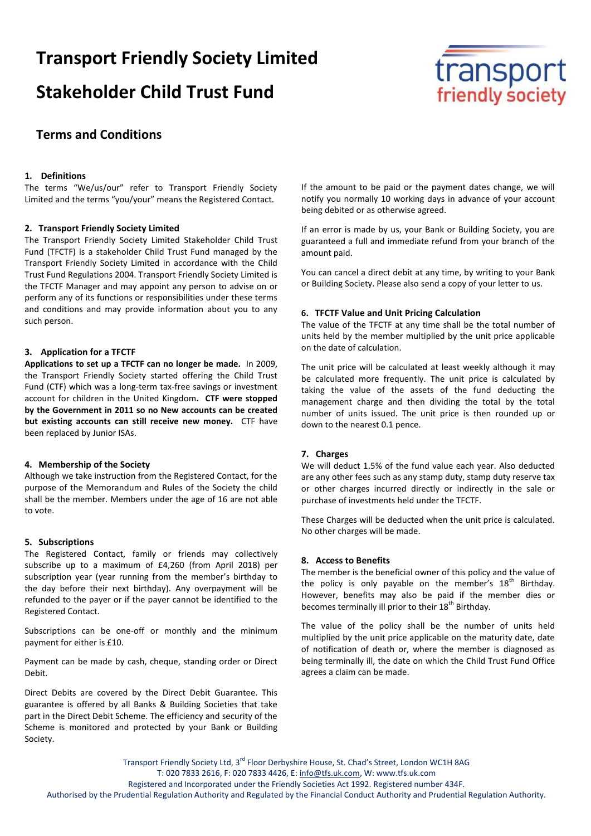# **Transport Friendly Society Limited Stakeholder Child Trust Fund**



# **Terms and Conditions**

#### **1. Definitions**

The terms "We/us/our" refer to Transport Friendly Society Limited and the terms "you/your" means the Registered Contact.

#### **2. Transport Friendly Society Limited**

The Transport Friendly Society Limited Stakeholder Child Trust Fund (TFCTF) is a stakeholder Child Trust Fund managed by the Transport Friendly Society Limited in accordance with the Child Trust Fund Regulations 2004. Transport Friendly Society Limited is the TFCTF Manager and may appoint any person to advise on or perform any of its functions or responsibilities under these terms and conditions and may provide information about you to any such person.

# **3. Application for a TFCTF**

**Applications to set up a TFCTF can no longer be made.** In 2009, the Transport Friendly Society started offering the Child Trust Fund (CTF) which was a long-term tax-free savings or investment account for children in the United Kingdom**. CTF were stopped by the Government in 2011 so no New accounts can be created but existing accounts can still receive new money.** CTF have been replaced by Junior ISAs.

#### **4. Membership of the Society**

Although we take instruction from the Registered Contact, for the purpose of the Memorandum and Rules of the Society the child shall be the member. Members under the age of 16 are not able to vote.

#### **5. Subscriptions**

The Registered Contact, family or friends may collectively subscribe up to a maximum of £4,260 (from April 2018) per subscription year (year running from the member's birthday to the day before their next birthday). Any overpayment will be refunded to the payer or if the payer cannot be identified to the Registered Contact.

Subscriptions can be one-off or monthly and the minimum payment for either is £10.

Payment can be made by cash, cheque, standing order or Direct Debit.

Direct Debits are covered by the Direct Debit Guarantee. This guarantee is offered by all Banks & Building Societies that take part in the Direct Debit Scheme. The efficiency and security of the Scheme is monitored and protected by your Bank or Building Society.

If the amount to be paid or the payment dates change, we will notify you normally 10 working days in advance of your account being debited or as otherwise agreed.

If an error is made by us, your Bank or Building Society, you are guaranteed a full and immediate refund from your branch of the amount paid.

You can cancel a direct debit at any time, by writing to your Bank or Building Society. Please also send a copy of your letter to us.

#### **6. TFCTF Value and Unit Pricing Calculation**

The value of the TFCTF at any time shall be the total number of units held by the member multiplied by the unit price applicable on the date of calculation.

The unit price will be calculated at least weekly although it may be calculated more frequently. The unit price is calculated by taking the value of the assets of the fund deducting the management charge and then dividing the total by the total number of units issued. The unit price is then rounded up or down to the nearest 0.1 pence.

#### **7. Charges**

We will deduct 1.5% of the fund value each year. Also deducted are any other fees such as any stamp duty, stamp duty reserve tax or other charges incurred directly or indirectly in the sale or purchase of investments held under the TFCTF.

These Charges will be deducted when the unit price is calculated. No other charges will be made.

#### **8. Access to Benefits**

The member is the beneficial owner of this policy and the value of the policy is only payable on the member's  $18<sup>th</sup>$  Birthday. However, benefits may also be paid if the member dies or becomes terminally ill prior to their 18<sup>th</sup> Birthday.

The value of the policy shall be the number of units held multiplied by the unit price applicable on the maturity date, date of notification of death or, where the member is diagnosed as being terminally ill, the date on which the Child Trust Fund Office agrees a claim can be made.